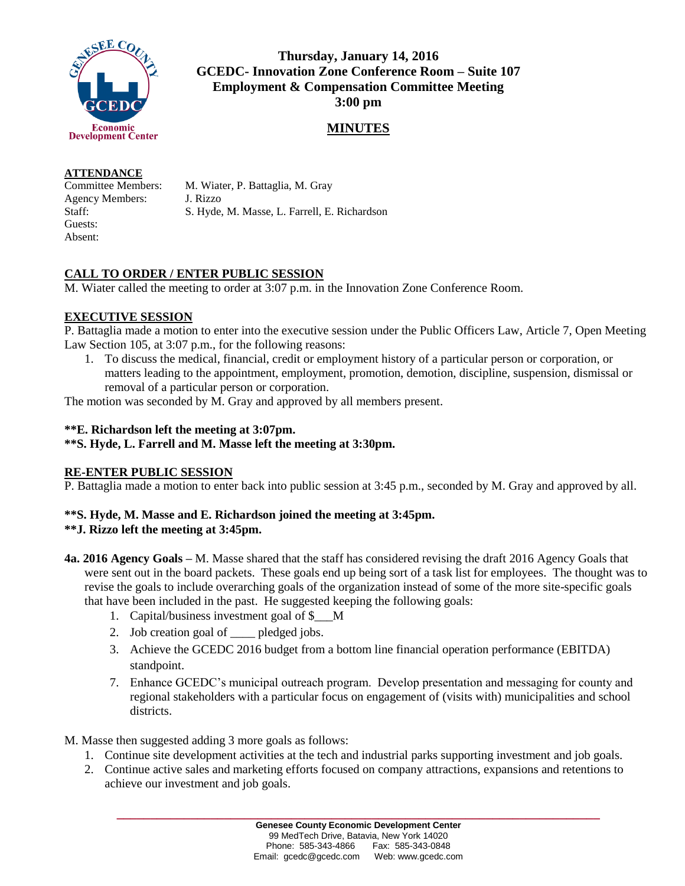

**Thursday, January 14, 2016 GCEDC- Innovation Zone Conference Room – Suite 107 Employment & Compensation Committee Meeting 3:00 pm**

## **MINUTES**

#### **ATTENDANCE**

Committee Members: M. Wiater, P. Battaglia, M. Gray Agency Members: J. Rizzo Staff: S. Hyde, M. Masse, L. Farrell, E. Richardson Guests: Absent:

# **CALL TO ORDER / ENTER PUBLIC SESSION**

M. Wiater called the meeting to order at 3:07 p.m. in the Innovation Zone Conference Room.

## **EXECUTIVE SESSION**

P. Battaglia made a motion to enter into the executive session under the Public Officers Law, Article 7, Open Meeting Law Section 105, at 3:07 p.m., for the following reasons:

1. To discuss the medical, financial, credit or employment history of a particular person or corporation, or matters leading to the appointment, employment, promotion, demotion, discipline, suspension, dismissal or removal of a particular person or corporation.

The motion was seconded by M. Gray and approved by all members present.

### **\*\*E. Richardson left the meeting at 3:07pm.**

### **\*\*S. Hyde, L. Farrell and M. Masse left the meeting at 3:30pm.**

### **RE-ENTER PUBLIC SESSION**

P. Battaglia made a motion to enter back into public session at 3:45 p.m., seconded by M. Gray and approved by all.

## **\*\*S. Hyde, M. Masse and E. Richardson joined the meeting at 3:45pm.**

## **\*\*J. Rizzo left the meeting at 3:45pm.**

- **4a. 2016 Agency Goals –** M. Masse shared that the staff has considered revising the draft 2016 Agency Goals that were sent out in the board packets. These goals end up being sort of a task list for employees. The thought was to revise the goals to include overarching goals of the organization instead of some of the more site-specific goals that have been included in the past. He suggested keeping the following goals:
	- 1. Capital/business investment goal of \$\_\_\_M
	- 2. Job creation goal of \_\_\_\_ pledged jobs.
	- 3. Achieve the GCEDC 2016 budget from a bottom line financial operation performance (EBITDA) standpoint.
	- 7. Enhance GCEDC's municipal outreach program. Develop presentation and messaging for county and regional stakeholders with a particular focus on engagement of (visits with) municipalities and school districts.
- M. Masse then suggested adding 3 more goals as follows:
	- 1. Continue site development activities at the tech and industrial parks supporting investment and job goals.
	- 2. Continue active sales and marketing efforts focused on company attractions, expansions and retentions to achieve our investment and job goals.

**\_\_\_\_\_\_\_\_\_\_\_\_\_\_\_\_\_\_\_\_\_\_\_\_\_\_\_\_\_\_\_\_\_\_\_\_\_\_\_\_\_\_\_\_\_\_\_\_\_\_\_\_\_\_\_\_\_\_\_\_\_\_\_\_\_\_\_\_\_\_\_\_**